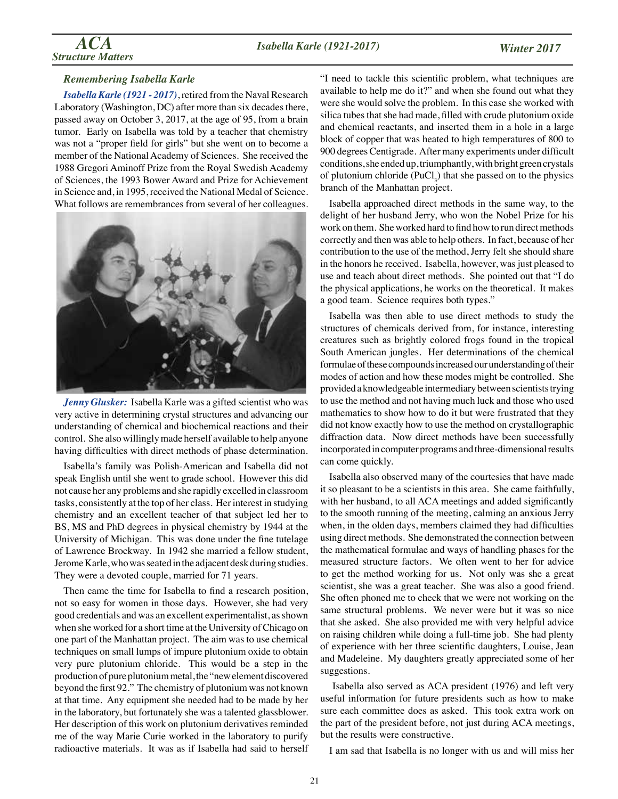#### *Remembering Isabella Karle*

*Isabella Karle (1921 - 2017)*, retired from the Naval Research Laboratory (Washington, DC) after more than six decades there, passed away on October 3, 2017, at the age of 95, from a brain tumor. Early on Isabella was told by a teacher that chemistry was not a "proper field for girls" but she went on to become a member of the National Academy of Sciences. She received the 1988 Gregori Aminoff Prize from the Royal Swedish Academy of Sciences, the 1993 Bower Award and Prize for Achievement in Science and, in 1995, received the National Medal of Science. What follows are remembrances from several of her colleagues.



*Jenny Glusker:* Isabella Karle was a gifted scientist who was very active in determining crystal structures and advancing our understanding of chemical and biochemical reactions and their control. She also willingly made herself available to help anyone having difficulties with direct methods of phase determination.

Isabella's family was Polish-American and Isabella did not speak English until she went to grade school. However this did not cause her any problems and she rapidly excelled in classroom tasks, consistently at the top of her class. Her interest in studying chemistry and an excellent teacher of that subject led her to BS, MS and PhD degrees in physical chemistry by 1944 at the University of Michigan. This was done under the fine tutelage of Lawrence Brockway. In 1942 she married a fellow student, Jerome Karle, who was seated in the adjacent desk during studies. They were a devoted couple, married for 71 years.

Then came the time for Isabella to find a research position, not so easy for women in those days. However, she had very good credentials and was an excellent experimentalist, as shown when she worked for a short time at the University of Chicago on one part of the Manhattan project. The aim was to use chemical techniques on small lumps of impure plutonium oxide to obtain very pure plutonium chloride. This would be a step in the production of pure plutonium metal, the "new element discovered beyond the first 92." The chemistry of plutonium was not known at that time. Any equipment she needed had to be made by her in the laboratory, but fortunately she was a talented glassblower. Her description of this work on plutonium derivatives reminded me of the way Marie Curie worked in the laboratory to purify radioactive materials. It was as if Isabella had said to herself "I need to tackle this scientific problem, what techniques are available to help me do it?" and when she found out what they were she would solve the problem. In this case she worked with silica tubes that she had made, filled with crude plutonium oxide and chemical reactants, and inserted them in a hole in a large block of copper that was heated to high temperatures of 800 to 900 degrees Centigrade. After many experiments under difficult conditions, she ended up, triumphantly, with bright green crystals of plutonium chloride  $(PuCl_3)$  that she passed on to the physics branch of the Manhattan project.

Isabella approached direct methods in the same way, to the delight of her husband Jerry, who won the Nobel Prize for his work on them. She worked hard to find how to run direct methods correctly and then was able to help others. In fact, because of her contribution to the use of the method, Jerry felt she should share in the honors he received. Isabella, however, was just pleased to use and teach about direct methods. She pointed out that "I do the physical applications, he works on the theoretical. It makes a good team. Science requires both types."

Isabella was then able to use direct methods to study the structures of chemicals derived from, for instance, interesting creatures such as brightly colored frogs found in the tropical South American jungles. Her determinations of the chemical formulae of these compounds increased our understanding of their modes of action and how these modes might be controlled. She provided a knowledgeable intermediary between scientists trying to use the method and not having much luck and those who used mathematics to show how to do it but were frustrated that they did not know exactly how to use the method on crystallographic diffraction data. Now direct methods have been successfully incorporated in computer programs and three-dimensional results can come quickly.

Isabella also observed many of the courtesies that have made it so pleasant to be a scientists in this area. She came faithfully, with her husband, to all ACA meetings and added significantly to the smooth running of the meeting, calming an anxious Jerry when, in the olden days, members claimed they had difficulties using direct methods. She demonstrated the connection between the mathematical formulae and ways of handling phases for the measured structure factors. We often went to her for advice to get the method working for us. Not only was she a great scientist, she was a great teacher. She was also a good friend. She often phoned me to check that we were not working on the same structural problems. We never were but it was so nice that she asked. She also provided me with very helpful advice on raising children while doing a full-time job. She had plenty of experience with her three scientific daughters, Louise, Jean and Madeleine. My daughters greatly appreciated some of her suggestions.

 Isabella also served as ACA president (1976) and left very useful information for future presidents such as how to make sure each committee does as asked. This took extra work on the part of the president before, not just during ACA meetings, but the results were constructive.

I am sad that Isabella is no longer with us and will miss her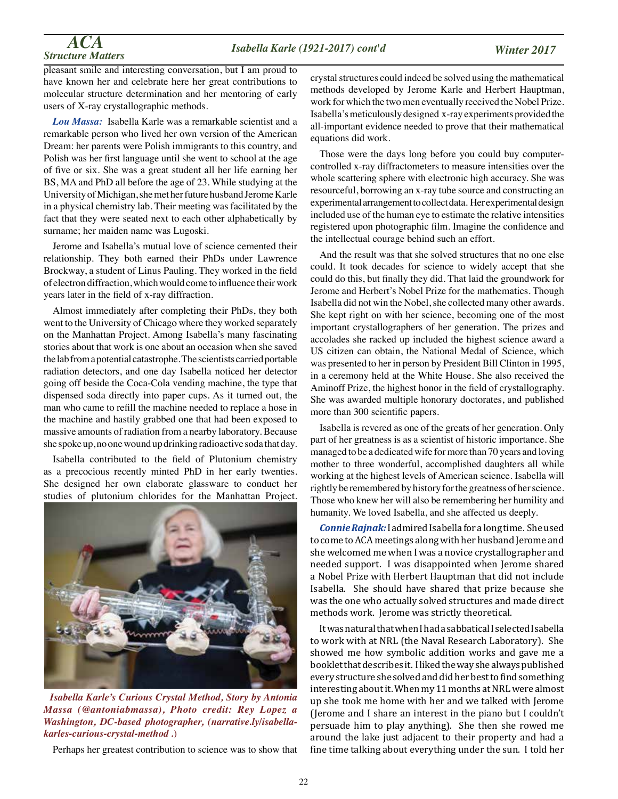### *Structure Matters Isabella Karle (1921-2017) cont'd*

# *ACA*

pleasant smile and interesting conversation, but I am proud to have known her and celebrate here her great contributions to molecular structure determination and her mentoring of early users of X-ray crystallographic methods.

*Lou Massa:* Isabella Karle was a remarkable scientist and a remarkable person who lived her own version of the American Dream: her parents were Polish immigrants to this country, and Polish was her first language until she went to school at the age of five or six. She was a great student all her life earning her BS, MA and PhD all before the age of 23. While studying at the University of Michigan, she met her future husband Jerome Karle in a physical chemistry lab. Their meeting was facilitated by the fact that they were seated next to each other alphabetically by surname; her maiden name was Lugoski.

Jerome and Isabella's mutual love of science cemented their relationship. They both earned their PhDs under Lawrence Brockway, a student of Linus Pauling. They worked in the field of electron diffraction, which would come to influence their work years later in the field of x-ray diffraction.

Almost immediately after completing their PhDs, they both went to the University of Chicago where they worked separately on the Manhattan Project. Among Isabella's many fascinating stories about that work is one about an occasion when she saved the lab from a potential catastrophe. The scientists carried portable radiation detectors, and one day Isabella noticed her detector going off beside the Coca-Cola vending machine, the type that dispensed soda directly into paper cups. As it turned out, the man who came to refill the machine needed to replace a hose in the machine and hastily grabbed one that had been exposed to massive amounts of radiation from a nearby laboratory. Because she spoke up, no one wound up drinking radioactive soda that day.

Isabella contributed to the field of Plutonium chemistry as a precocious recently minted PhD in her early twenties. She designed her own elaborate glassware to conduct her studies of plutonium chlorides for the Manhattan Project.



*Isabella Karle's Curious Crystal Method, Story by Antonia Massa (@antoniabmassa), Photo credit: Rey Lopez a Washington, DC-based photographer, (narrative.ly/isabellakarles-curious-crystal-method .*)

Perhaps her greatest contribution to science was to show that

crystal structures could indeed be solved using the mathematical methods developed by Jerome Karle and Herbert Hauptman, work for which the two men eventually received the Nobel Prize. Isabella's meticulously designed x-ray experiments provided the all-important evidence needed to prove that their mathematical equations did work.

Those were the days long before you could buy computercontrolled x-ray diffractometers to measure intensities over the whole scattering sphere with electronic high accuracy. She was resourceful, borrowing an x-ray tube source and constructing an experimental arrangement to collect data. Her experimental design included use of the human eye to estimate the relative intensities registered upon photographic film. Imagine the confidence and the intellectual courage behind such an effort.

And the result was that she solved structures that no one else could. It took decades for science to widely accept that she could do this, but finally they did. That laid the groundwork for Jerome and Herbert's Nobel Prize for the mathematics. Though Isabella did not win the Nobel, she collected many other awards. She kept right on with her science, becoming one of the most important crystallographers of her generation. The prizes and accolades she racked up included the highest science award a US citizen can obtain, the National Medal of Science, which was presented to her in person by President Bill Clinton in 1995, in a ceremony held at the White House. She also received the Aminoff Prize, the highest honor in the field of crystallography. She was awarded multiple honorary doctorates, and published more than 300 scientific papers.

Isabella is revered as one of the greats of her generation. Only part of her greatness is as a scientist of historic importance. She managed to be a dedicated wife for more than 70 years and loving mother to three wonderful, accomplished daughters all while working at the highest levels of American science. Isabella will rightly be remembered by history for the greatness of her science. Those who knew her will also be remembering her humility and humanity. We loved Isabella, and she affected us deeply.

*Connie Rajnak:* I admired Isabella for a long time. She used to come to ACA meetings along with her husband Jerome and she welcomed me when I was a novice crystallographer and needed support. I was disappointed when Jerome shared a Nobel Prize with Herbert Hauptman that did not include Isabella. She should have shared that prize because she was the one who actually solved structures and made direct methods work. Jerome was strictly theoretical.

It was natural that when I had a sabbatical I selected Isabella to work with at NRL (the Naval Research Laboratory). She showed me how symbolic addition works and gave me a booklet that describes it. I liked the way she always published every structure she solved and did her best to find something interesting about it. When my 11 months at NRL were almost up she took me home with her and we talked with Jerome (Jerome and I share an interest in the piano but I couldn't persuade him to play anything). She then she rowed me around the lake just adjacent to their property and had a fine time talking about everything under the sun. I told her